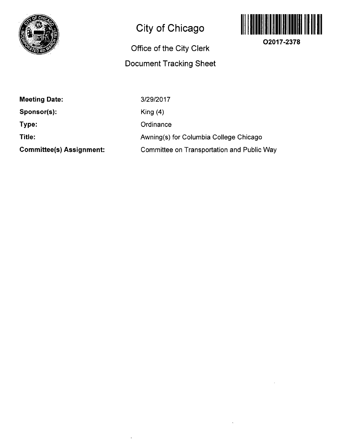

## **City of Chicago**

## **Office of the City Clerk Document Tracking Sheet**



**O2017-2378** 

**Meeting Date:** 

**Sponsor(s):** 

**Type:** 

**Title:** 

**Committee(s) Assignment:** 

3/29/2017 King (4) **Ordinance** 

Awning(s) for Columbia College Chicago

Committee on Transportation and Public Way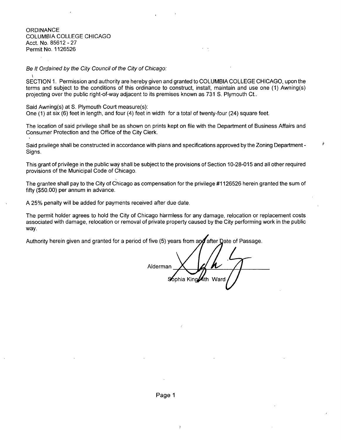**ORDINANCE** COLUMBIA COLLEGE CHICAGO Acct. No, 85612-27 Permit No. 1126526

Be It Ordained by the City Council of the City of Chicago:

SECTION 1. Permission and authority are hereby given and granted to COLUMBIA COLLEGE CHICAGO, upon the terms and subject to the conditions of this ordinance to construct, install, maintain and use one (1) Awning(s) projecting over the pubiic right-of-way adjacent to its premises known as 731 S. Plymouth Ct..

Said Awning(s) at S. Plymouth Court measure(s): One (1) at six (6) feet in length, and four (4) feet in width for a total of twenty-four (24) square feet.

The location of said privilege shall be as shown on prints kept on file with the Department of Business Affairs and Consumer Protection and the Office of the City Clerk.

Said privilege shall be constructed in accordance with plans and specifications approved by the Zoning Department - Signs.

This grant of privilege in the public way shall be subject to the provisions of Section 10-28-015 and all other required provisions of the Municipal Code of Chicago.

The grantee shall pay to the City of Chicago as compensation for the privilege #1126526 herein granted the sum of fifty (\$50.00) per annum in advance.

A 25% penalty will be added for payments received after due date.

The permit holder agrees to hold the City of Chicago harmless for any damage, relocation or replacement costs associated with damage, relocation or removal of private property caused by the City performing work in the public way.

Authority herein given and granted for a period of five (5) years from and after Date of Passage.

Alderman Sophia King 4th Ward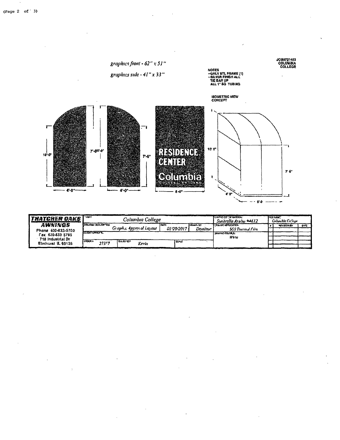

| <i>Thatcher Daks</i> | l "UENT<br>Columbia College |       |                         |       |                          |                          | <b>ICWYOCO CRYWICHIAL</b><br>Sunbrella Aruba #4612 | <b>FILE NAME</b><br>Calumbia College |                    |             |
|----------------------|-----------------------------|-------|-------------------------|-------|--------------------------|--------------------------|----------------------------------------------------|--------------------------------------|--------------------|-------------|
| AWNINGS              | <b>ICAANO ZESCRIPTON</b>    |       |                         |       | l Sate                   | <b>Itiousn't</b>         | <b>FEPA-HO APPUCATION</b>                          |                                      | <b>NEVISION BY</b> | <b>DATE</b> |
| Phone 630-833-5700   |                             |       | Graphic Approval Layout |       | <i><b>01/20/2017</b></i> | Domme                    | <b>SGS Thermal From</b>                            |                                      |                    |             |
| Гах 630-833 5795     | COLLENY APPROVAL            |       |                         |       |                          | <b>Takushic COLOR SI</b> |                                                    |                                      |                    |             |
| 718 Industrial Dr    |                             |       |                         |       |                          |                          | Wb7c                                               |                                      |                    |             |
| Elmhurst IL 60126    | <b>CROSH 1</b>              | 273<7 | <b>TEALES OFF</b>       | Kerin | <b>SCALE</b>             |                          |                                                    |                                      |                    |             |
|                      |                             |       |                         |       |                          |                          |                                                    |                                      |                    |             |